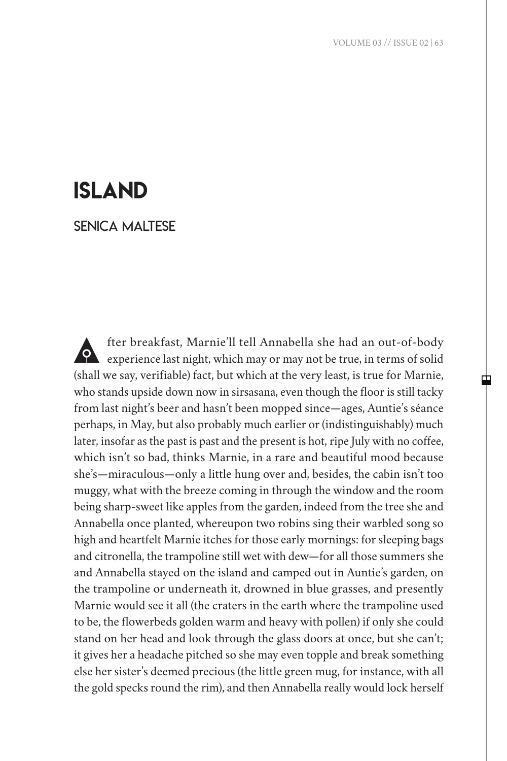## island

Senica Maltese

A fter breakfast, Marnie'll tell Annabella she had an out-of-body experience last night, which may or may not be true, in terms of solid (shall we say, verifiable) fact, but which at the very least, is true for Marnie, who stands upside down now in sirsasana, even though the floor is still tacky from last night's beer and hasn't been mopped since—ages, Auntie's séance perhaps, in May, but also probably much earlier or (indistinguishably) much later, insofar as the past is past and the present is hot, ripe July with no coffee, which isn't so bad, thinks Marnie, in a rare and beautiful mood because she's—miraculous—only a little hung over and, besides, the cabin isn't too muggy, what with the breeze coming in through the window and the room being sharp-sweet like apples from the garden, indeed from the tree she and Annabella once planted, whereupon two robins sing their warbled song so high and heartfelt Marnie itches for those early mornings: for sleeping bags and citronella, the trampoline still wet with dew—for all those summers she and Annabella stayed on the island and camped out in Auntie's garden, on the trampoline or underneath it, drowned in blue grasses, and presently Marnie would see it all (the craters in the earth where the trampoline used to be, the flowerbeds golden warm and heavy with pollen) if only she could stand on her head and look through the glass doors at once, but she can't; it gives her a headache pitched so she may even topple and break something else her sister's deemed precious (the little green mug, for instance, with all the gold specks round the rim), and then Annabella really would lock herself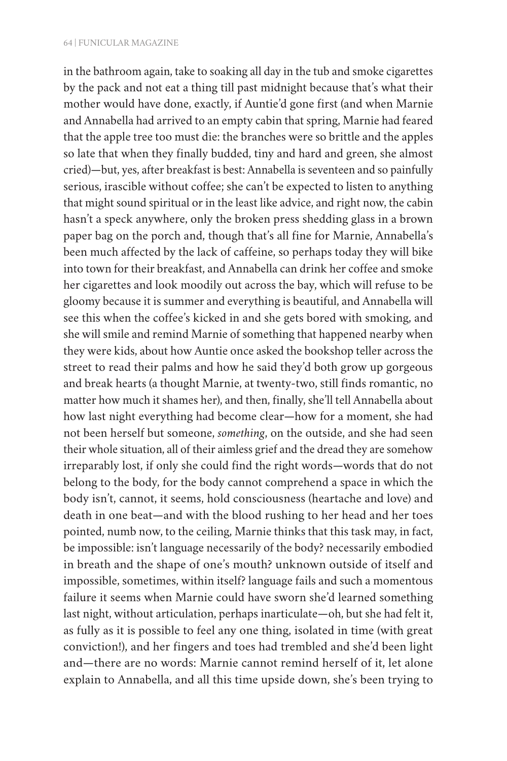## 64 | FUNICULAR MAGAZINE

in the bathroom again, take to soaking all day in the tub and smoke cigarettes by the pack and not eat a thing till past midnight because that's what their mother would have done, exactly, if Auntie'd gone first (and when Marnie and Annabella had arrived to an empty cabin that spring, Marnie had feared that the apple tree too must die: the branches were so brittle and the apples so late that when they finally budded, tiny and hard and green, she almost cried)—but, yes, after breakfast is best: Annabella is seventeen and so painfully serious, irascible without coffee; she can't be expected to listen to anything that might sound spiritual or in the least like advice, and right now, the cabin hasn't a speck anywhere, only the broken press shedding glass in a brown paper bag on the porch and, though that's all fine for Marnie, Annabella's been much affected by the lack of caffeine, so perhaps today they will bike into town for their breakfast, and Annabella can drink her coffee and smoke her cigarettes and look moodily out across the bay, which will refuse to be gloomy because it is summer and everything is beautiful, and Annabella will see this when the coffee's kicked in and she gets bored with smoking, and she will smile and remind Marnie of something that happened nearby when they were kids, about how Auntie once asked the bookshop teller across the street to read their palms and how he said they'd both grow up gorgeous and break hearts (a thought Marnie, at twenty-two, still finds romantic, no matter how much it shames her), and then, finally, she'll tell Annabella about how last night everything had become clear—how for a moment, she had not been herself but someone, *something*, on the outside, and she had seen their whole situation, all of their aimless grief and the dread they are somehow irreparably lost, if only she could find the right words—words that do not belong to the body, for the body cannot comprehend a space in which the body isn't, cannot, it seems, hold consciousness (heartache and love) and death in one beat—and with the blood rushing to her head and her toes pointed, numb now, to the ceiling, Marnie thinks that this task may, in fact, be impossible: isn't language necessarily of the body? necessarily embodied in breath and the shape of one's mouth? unknown outside of itself and impossible, sometimes, within itself? language fails and such a momentous failure it seems when Marnie could have sworn she'd learned something last night, without articulation, perhaps inarticulate—oh, but she had felt it, as fully as it is possible to feel any one thing, isolated in time (with great conviction!), and her fingers and toes had trembled and she'd been light and—there are no words: Marnie cannot remind herself of it, let alone explain to Annabella, and all this time upside down, she's been trying to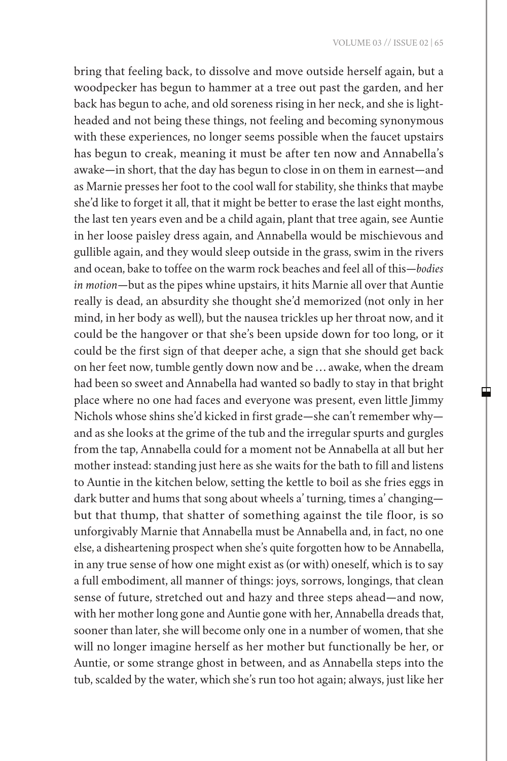中

bring that feeling back, to dissolve and move outside herself again, but a woodpecker has begun to hammer at a tree out past the garden, and her back has begun to ache, and old soreness rising in her neck, and she is lightheaded and not being these things, not feeling and becoming synonymous with these experiences, no longer seems possible when the faucet upstairs has begun to creak, meaning it must be after ten now and Annabella's awake—in short, that the day has begun to close in on them in earnest—and as Marnie presses her foot to the cool wall for stability, she thinks that maybe she'd like to forget it all, that it might be better to erase the last eight months, the last ten years even and be a child again, plant that tree again, see Auntie in her loose paisley dress again, and Annabella would be mischievous and gullible again, and they would sleep outside in the grass, swim in the rivers and ocean, bake to toffee on the warm rock beaches and feel all of this—*bodies in motion*—but as the pipes whine upstairs, it hits Marnie all over that Auntie really is dead, an absurdity she thought she'd memorized (not only in her mind, in her body as well), but the nausea trickles up her throat now, and it could be the hangover or that she's been upside down for too long, or it could be the first sign of that deeper ache, a sign that she should get back on her feet now, tumble gently down now and be … awake, when the dream had been so sweet and Annabella had wanted so badly to stay in that bright place where no one had faces and everyone was present, even little Jimmy Nichols whose shins she'd kicked in first grade—she can't remember why and as she looks at the grime of the tub and the irregular spurts and gurgles from the tap, Annabella could for a moment not be Annabella at all but her mother instead: standing just here as she waits for the bath to fill and listens to Auntie in the kitchen below, setting the kettle to boil as she fries eggs in dark butter and hums that song about wheels a' turning, times a' changing but that thump, that shatter of something against the tile floor, is so unforgivably Marnie that Annabella must be Annabella and, in fact, no one else, a disheartening prospect when she's quite forgotten how to be Annabella, in any true sense of how one might exist as (or with) oneself, which is to say a full embodiment, all manner of things: joys, sorrows, longings, that clean sense of future, stretched out and hazy and three steps ahead—and now, with her mother long gone and Auntie gone with her, Annabella dreads that, sooner than later, she will become only one in a number of women, that she will no longer imagine herself as her mother but functionally be her, or Auntie, or some strange ghost in between, and as Annabella steps into the tub, scalded by the water, which she's run too hot again; always, just like her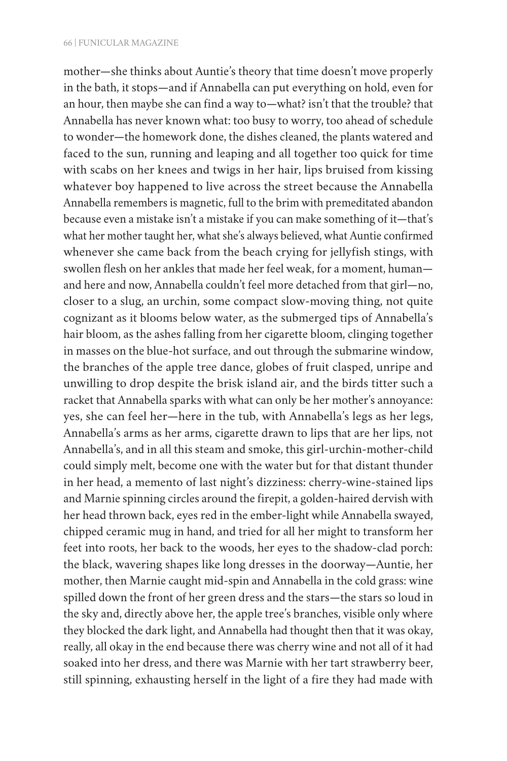mother—she thinks about Auntie's theory that time doesn't move properly in the bath, it stops—and if Annabella can put everything on hold, even for an hour, then maybe she can find a way to—what? isn't that the trouble? that Annabella has never known what: too busy to worry, too ahead of schedule to wonder—the homework done, the dishes cleaned, the plants watered and faced to the sun, running and leaping and all together too quick for time with scabs on her knees and twigs in her hair, lips bruised from kissing whatever boy happened to live across the street because the Annabella Annabella remembers is magnetic, full to the brim with premeditated abandon because even a mistake isn't a mistake if you can make something of it—that's what her mother taught her, what she's always believed, what Auntie confirmed whenever she came back from the beach crying for jellyfish stings, with swollen flesh on her ankles that made her feel weak, for a moment, human and here and now, Annabella couldn't feel more detached from that girl—no, closer to a slug, an urchin, some compact slow-moving thing, not quite cognizant as it blooms below water, as the submerged tips of Annabella's hair bloom, as the ashes falling from her cigarette bloom, clinging together in masses on the blue-hot surface, and out through the submarine window, the branches of the apple tree dance, globes of fruit clasped, unripe and unwilling to drop despite the brisk island air, and the birds titter such a racket that Annabella sparks with what can only be her mother's annoyance: yes, she can feel her—here in the tub, with Annabella's legs as her legs, Annabella's arms as her arms, cigarette drawn to lips that are her lips, not Annabella's, and in all this steam and smoke, this girl-urchin-mother-child could simply melt, become one with the water but for that distant thunder in her head, a memento of last night's dizziness: cherry-wine-stained lips and Marnie spinning circles around the firepit, a golden-haired dervish with her head thrown back, eyes red in the ember-light while Annabella swayed, chipped ceramic mug in hand, and tried for all her might to transform her feet into roots, her back to the woods, her eyes to the shadow-clad porch: the black, wavering shapes like long dresses in the doorway—Auntie, her mother, then Marnie caught mid-spin and Annabella in the cold grass: wine spilled down the front of her green dress and the stars—the stars so loud in the sky and, directly above her, the apple tree's branches, visible only where they blocked the dark light, and Annabella had thought then that it was okay, really, all okay in the end because there was cherry wine and not all of it had soaked into her dress, and there was Marnie with her tart strawberry beer, still spinning, exhausting herself in the light of a fire they had made with